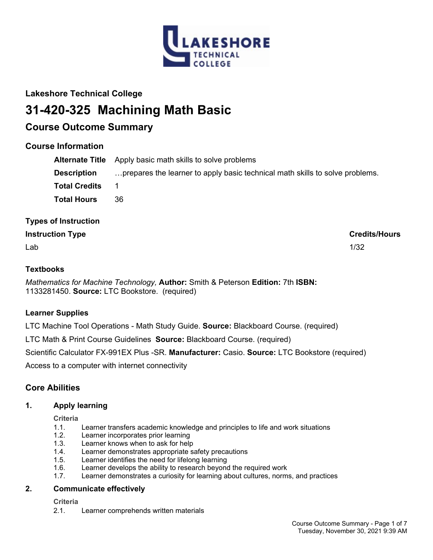

## **Lakeshore Technical College**

# **31-420-325 Machining Math Basic**

## **Course Outcome Summary**

## **Course Information**

|                      | <b>Alternate Title</b> Apply basic math skills to solve problems             |
|----------------------|------------------------------------------------------------------------------|
| <b>Description</b>   | prepares the learner to apply basic technical math skills to solve problems. |
| <b>Total Credits</b> |                                                                              |
| <b>Total Hours</b>   | 36                                                                           |

## **Types of Instruction**

## **Instruction Type Credits/Hours**

 $\mathsf{Lab}$  and the contract of the contract of the contract of the contract of the contract of the contract of the contract of the contract of the contract of the contract of the contract of the contract of the contract of

## **Textbooks**

*Mathematics for Machine Technology,* **Author:** Smith & Peterson **Edition:** 7th **ISBN:** 1133281450. **Source:** LTC Bookstore. (required)

## **Learner Supplies**

LTC Machine Tool Operations - Math Study Guide. **Source:** Blackboard Course. (required)

LTC Math & Print Course Guidelines **Source:** Blackboard Course. (required)

Scientific Calculator FX-991EX Plus -SR. **Manufacturer:** Casio. **Source:** LTC Bookstore (required)

Access to a computer with internet connectivity

## **Core Abilities**

## **1. Apply learning**

**Criteria**

- 1.1. Learner transfers academic knowledge and principles to life and work situations
- 1.2. Learner incorporates prior learning
- 1.3. Learner knows when to ask for help
- 1.4. Learner demonstrates appropriate safety precautions
- 1.5. Learner identifies the need for lifelong learning
- 1.6. Learner develops the ability to research beyond the required work
- 1.7. Learner demonstrates a curiosity for learning about cultures, norms, and practices

## **2. Communicate effectively**

**Criteria**

2.1. Learner comprehends written materials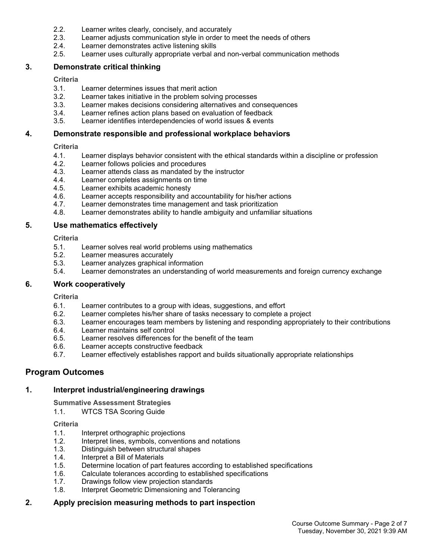- 2.2. Learner writes clearly, concisely, and accurately
- 2.3. Learner adjusts communication style in order to meet the needs of others
- 2.4. Learner demonstrates active listening skills
- 2.5. Learner uses culturally appropriate verbal and non-verbal communication methods

## **3. Demonstrate critical thinking**

**Criteria**

- 3.1. Learner determines issues that merit action
- 3.2. Learner takes initiative in the problem solving processes
- 3.3. Learner makes decisions considering alternatives and consequences
- 3.4. Learner refines action plans based on evaluation of feedback
- 3.5. Learner identifies interdependencies of world issues & events

## **4. Demonstrate responsible and professional workplace behaviors**

#### **Criteria**

- 4.1. Learner displays behavior consistent with the ethical standards within a discipline or profession<br>4.2. Learner follows policies and procedures
- Learner follows policies and procedures
- 4.3. Learner attends class as mandated by the instructor
- 4.4. Learner completes assignments on time
- 4.5. Learner exhibits academic honesty
- 4.6. Learner accepts responsibility and accountability for his/her actions
- 4.7. Learner demonstrates time management and task prioritization
- 4.8. Learner demonstrates ability to handle ambiguity and unfamiliar situations

## **5. Use mathematics effectively**

**Criteria**

- 5.1. Learner solves real world problems using mathematics
- 5.2. Learner measures accurately
- 5.3. Learner analyzes graphical information
- 5.4. Learner demonstrates an understanding of world measurements and foreign currency exchange

## **6. Work cooperatively**

**Criteria**

- 6.1. Learner contributes to a group with ideas, suggestions, and effort
- 6.2. Learner completes his/her share of tasks necessary to complete a project
- 6.3. Learner encourages team members by listening and responding appropriately to their contributions
- 6.4. Learner maintains self control
- 6.5. Learner resolves differences for the benefit of the team
- 6.6. Learner accepts constructive feedback
- 6.7. Learner effectively establishes rapport and builds situationally appropriate relationships

## **Program Outcomes**

## **1. Interpret industrial/engineering drawings**

**Summative Assessment Strategies**

1.1. WTCS TSA Scoring Guide

#### **Criteria**

- 1.1. Interpret orthographic projections
- 1.2. Interpret lines, symbols, conventions and notations
- 1.3. Distinguish between structural shapes
- 1.4. Interpret a Bill of Materials
- 1.5. Determine location of part features according to established specifications
- 1.6. Calculate tolerances according to established specifications
- 1.7. Drawings follow view projection standards
- 1.8. Interpret Geometric Dimensioning and Tolerancing

## **2. Apply precision measuring methods to part inspection**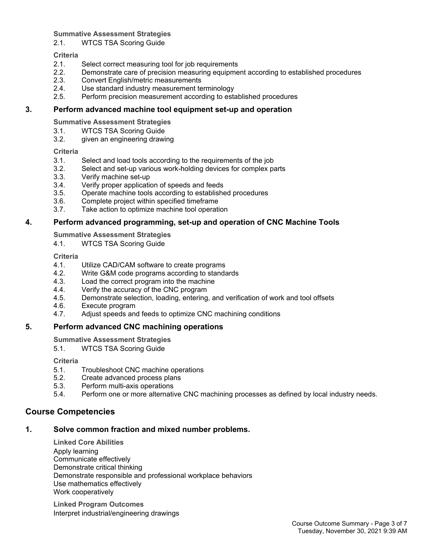## **Summative Assessment Strategies**

2.1. WTCS TSA Scoring Guide

## **Criteria**

- 2.1. Select correct measuring tool for job requirements
- 2.2. Demonstrate care of precision measuring equipment according to established procedures
- 2.3. Convert English/metric measurements
- 2.4. Use standard industry measurement terminology
- 2.5. Perform precision measurement according to established procedures

## **3. Perform advanced machine tool equipment set-up and operation**

**Summative Assessment Strategies**

- 3.1. WTCS TSA Scoring Guide
- 3.2. given an engineering drawing

## **Criteria**

- 3.1. Select and load tools according to the requirements of the job
- 3.2. Select and set-up various work-holding devices for complex parts
- 3.3. Verify machine set-up
- 3.4. Verify proper application of speeds and feeds
- 3.5. Operate machine tools according to established procedures
- 3.6. Complete project within specified timeframe
- 3.7. Take action to optimize machine tool operation

## **4. Perform advanced programming, set-up and operation of CNC Machine Tools**

**Summative Assessment Strategies**

4.1. WTCS TSA Scoring Guide

## **Criteria**

- 4.1. Utilize CAD/CAM software to create programs
- 4.2. Write G&M code programs according to standards
- 4.3. Load the correct program into the machine
- 4.4. Verify the accuracy of the CNC program
- 4.5. Demonstrate selection, loading, entering, and verification of work and tool offsets
- 4.6. Execute program
- 4.7. Adjust speeds and feeds to optimize CNC machining conditions

## **5. Perform advanced CNC machining operations**

**Summative Assessment Strategies**

5.1. WTCS TSA Scoring Guide

**Criteria**

- 5.1. Troubleshoot CNC machine operations
- 5.2. Create advanced process plans
- 5.3. Perform multi-axis operations
- 5.4. Perform one or more alternative CNC machining processes as defined by local industry needs.

## **Course Competencies**

## **1. Solve common fraction and mixed number problems.**

**Linked Core Abilities** Apply learning Communicate effectively Demonstrate critical thinking Demonstrate responsible and professional workplace behaviors Use mathematics effectively Work cooperatively

**Linked Program Outcomes** Interpret industrial/engineering drawings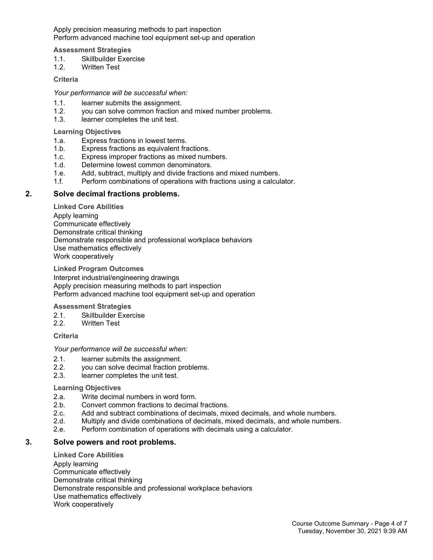Apply precision measuring methods to part inspection Perform advanced machine tool equipment set-up and operation

#### **Assessment Strategies**

- 1.1. Skillbuilder Exercise
- 1.2. Written Test

#### **Criteria**

*Your performance will be successful when:*

- 1.1. learner submits the assignment.
- 1.2. you can solve common fraction and mixed number problems.
- 1.3. learner completes the unit test.

**Learning Objectives**

- 1.a. Express fractions in lowest terms.
- 1.b. Express fractions as equivalent fractions.
- 1.c. Express improper fractions as mixed numbers.
- 1.d. Determine lowest common denominators.
- 1.e. Add, subtract, multiply and divide fractions and mixed numbers.
- 1.f. Perform combinations of operations with fractions using a calculator.

#### **2. Solve decimal fractions problems.**

**Linked Core Abilities**

Apply learning Communicate effectively Demonstrate critical thinking Demonstrate responsible and professional workplace behaviors Use mathematics effectively Work cooperatively

**Linked Program Outcomes**

Interpret industrial/engineering drawings Apply precision measuring methods to part inspection Perform advanced machine tool equipment set-up and operation

#### **Assessment Strategies**

- 2.1. Skillbuilder Exercise
- 2.2. Written Test

**Criteria**

*Your performance will be successful when:*

- 2.1. learner submits the assignment.
- 2.2. you can solve decimal fraction problems.
- 2.3. learner completes the unit test.

#### **Learning Objectives**

- 2.a. Write decimal numbers in word form.
- 2.b. Convert common fractions to decimal fractions.
- 2.c. Add and subtract combinations of decimals, mixed decimals, and whole numbers.
- 2.d. Multiply and divide combinations of decimals, mixed decimals, and whole numbers.
- 2.e. Perform combination of operations with decimals using a calculator.

#### **3. Solve powers and root problems.**

**Linked Core Abilities** Apply learning Communicate effectively Demonstrate critical thinking Demonstrate responsible and professional workplace behaviors Use mathematics effectively Work cooperatively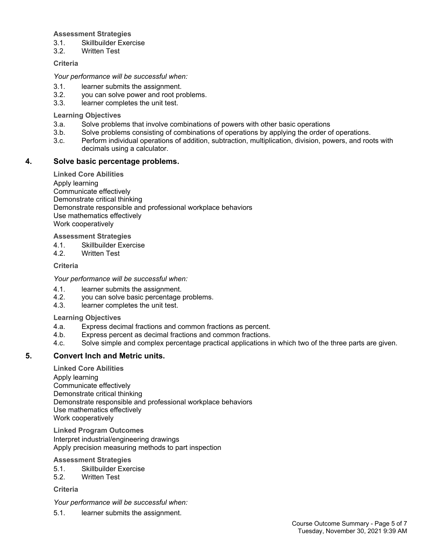### **Assessment Strategies**

- 3.1. Skillbuilder Exercise
- 3.2. Written Test

## **Criteria**

## *Your performance will be successful when:*

- 3.1. learner submits the assignment.
- 3.2. you can solve power and root problems.
- 3.3. learner completes the unit test.

## **Learning Objectives**

- 3.a. Solve problems that involve combinations of powers with other basic operations
- 3.b. Solve problems consisting of combinations of operations by applying the order of operations.
- 3.c. Perform individual operations of addition, subtraction, multiplication, division, powers, and roots with decimals using a calculator.

## **4. Solve basic percentage problems.**

**Linked Core Abilities** Apply learning Communicate effectively Demonstrate critical thinking Demonstrate responsible and professional workplace behaviors Use mathematics effectively Work cooperatively

**Assessment Strategies**

- 4.1. Skillbuilder Exercise<br>4.2 Written Test
- Written Test

## **Criteria**

*Your performance will be successful when:*

- 4.1. learner submits the assignment.
- 4.2. you can solve basic percentage problems.
- 4.3. learner completes the unit test.

## **Learning Objectives**

- 4.a. Express decimal fractions and common fractions as percent.
- 4.b. Express percent as decimal fractions and common fractions.
- 4.c. Solve simple and complex percentage practical applications in which two of the three parts are given.

## **5. Convert Inch and Metric units.**

**Linked Core Abilities**

Apply learning Communicate effectively Demonstrate critical thinking Demonstrate responsible and professional workplace behaviors Use mathematics effectively Work cooperatively

**Linked Program Outcomes** Interpret industrial/engineering drawings Apply precision measuring methods to part inspection

## **Assessment Strategies**

- 5.1. Skillbuilder Exercise
- 5.2. Written Test

**Criteria**

*Your performance will be successful when:*

5.1. learner submits the assignment.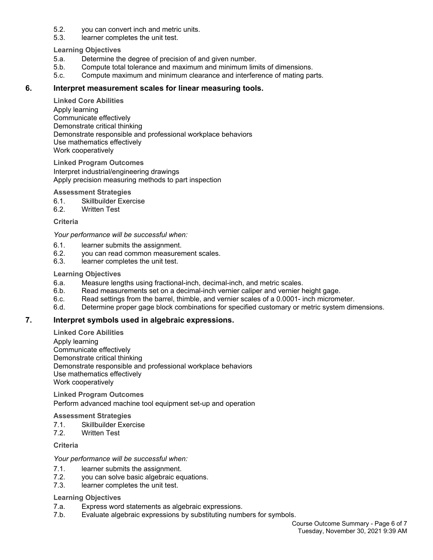- 5.2. you can convert inch and metric units.
- 5.3. learner completes the unit test.

**Learning Objectives**

- 5.a. Determine the degree of precision of and given number.
- 5.b. Compute total tolerance and maximum and minimum limits of dimensions.
- 5.c. Compute maximum and minimum clearance and interference of mating parts.

### **6. Interpret measurement scales for linear measuring tools.**

**Linked Core Abilities**

Apply learning Communicate effectively Demonstrate critical thinking Demonstrate responsible and professional workplace behaviors Use mathematics effectively Work cooperatively

**Linked Program Outcomes** Interpret industrial/engineering drawings Apply precision measuring methods to part inspection

#### **Assessment Strategies**

- 6.1. Skillbuilder Exercise
- 6.2. Written Test

#### **Criteria**

#### *Your performance will be successful when:*

- 6.1. learner submits the assignment.
- 6.2. you can read common measurement scales.
- 6.3. learner completes the unit test.

#### **Learning Objectives**

- 6.a. Measure lengths using fractional-inch, decimal-inch, and metric scales.
- 6.b. Read measurements set on a decimal-inch vernier caliper and vernier height gage.
- 6.c. Read settings from the barrel, thimble, and vernier scales of a 0.0001- inch micrometer.
- 6.d. Determine proper gage block combinations for specified customary or metric system dimensions.

## **7. Interpret symbols used in algebraic expressions.**

#### **Linked Core Abilities**

Apply learning Communicate effectively Demonstrate critical thinking Demonstrate responsible and professional workplace behaviors Use mathematics effectively Work cooperatively

**Linked Program Outcomes** Perform advanced machine tool equipment set-up and operation

#### **Assessment Strategies**

- 7.1. Skillbuilder Exercise
- 7.2. Written Test

## **Criteria**

#### *Your performance will be successful when:*

- 7.1. learner submits the assignment.
- 7.2. you can solve basic algebraic equations.
- 7.3. learner completes the unit test.

#### **Learning Objectives**

- 7.a. Express word statements as algebraic expressions.
- 7.b. Evaluate algebraic expressions by substituting numbers for symbols.